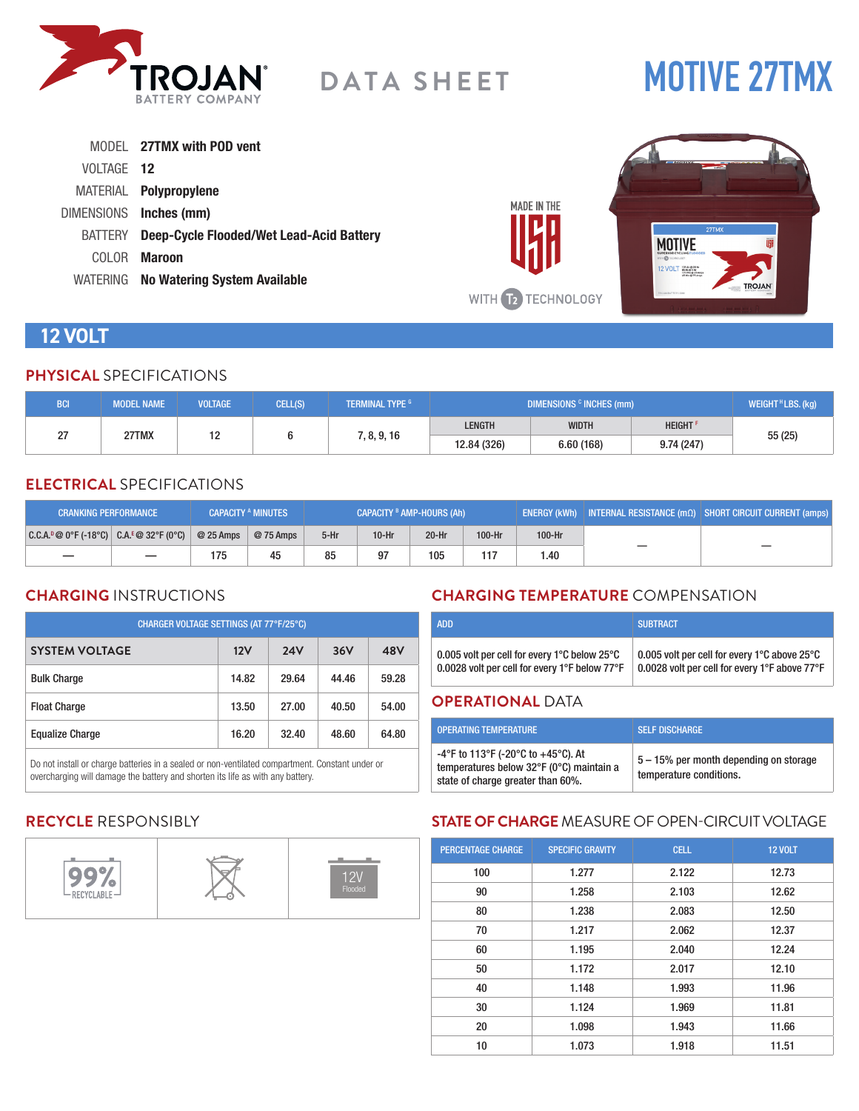

# **MOTIVE 27TMX**

|                   | MODEL 27TMX with POD vent                       |                      |                                                                                                                                                                                                                                                     |
|-------------------|-------------------------------------------------|----------------------|-----------------------------------------------------------------------------------------------------------------------------------------------------------------------------------------------------------------------------------------------------|
| VOLTAGE 12        |                                                 |                      | <b>ENTERPRISE</b><br><b>CONTRACTOR</b> AND IN AN AND<br><b>Contractor</b>                                                                                                                                                                           |
| <b>MATERIAL</b>   | Polypropylene                                   |                      |                                                                                                                                                                                                                                                     |
| <b>DIMENSIONS</b> | Inches (mm)                                     | MADE IN THE          |                                                                                                                                                                                                                                                     |
| <b>BATTERY</b>    | <b>Deep-Cycle Flooded/Wet Lead-Acid Battery</b> |                      | 27TMX<br><b>MOTIVE</b>                                                                                                                                                                                                                              |
| <b>COLOR</b>      | <b>Maroon</b>                                   |                      | <b>MIN@TECHNOLOGY</b>                                                                                                                                                                                                                               |
|                   | WATERING No Watering System Available           |                      | $\frac{12 \text{ VOLT}}{12 \text{ NOLT}} \frac{105 \text{ A} \text{m } \text{O} \text{ Npc}}{171 \text{ Mpc} \text{m } \text{O} \text{ J} \text{J} \text{ Amp} \text{J}}}{15 \text{ Mpc} \text{ J} \text{J} \text{ Amp} \text{J}}$<br><b>TROJAN</b> |
|                   |                                                 | <b>T2 TECHNOLOGY</b> | TROJANBATTERY, COM                                                                                                                                                                                                                                  |

# **12 VOLT**

#### **PHYSICAL** SPECIFICATIONS

| <b>BCI</b> | <b>MODEL NAME</b> | <b>VOLTAGE</b> | CELL(S) | <b>I TERMINAL TYPE 6 '</b> | DIMENSIONS <sup>c</sup> INCHES (mm) |              |                            | WEIGHT <sup>H</sup> LBS. (kg) |  |
|------------|-------------------|----------------|---------|----------------------------|-------------------------------------|--------------|----------------------------|-------------------------------|--|
| n-         | 27TMX             | $\sim$         |         | 7, 8, 9, 16                | <b>LENGTH</b>                       | <b>WIDTH</b> | <b>HEIGHT</b> <sup>F</sup> |                               |  |
|            |                   |                |         |                            | 12.84 (326)                         | 6.60(168)    | 9.74(247)                  | 55(25)                        |  |

### **ELECTRICAL** SPECIFICATIONS

| <b>CRANKING PERFORMANCE</b>                   |  |            | <b>CAPACITY A MINUTES</b> | CAPACITY <sup>B</sup> AMP-HOURS (Ah) |         |         |        | ENERGY (kWh)   INTERNAL RESISTANCE $\overline{(m\Omega)}$   SHORT CIRCUIT CURRENT (amps) |  |
|-----------------------------------------------|--|------------|---------------------------|--------------------------------------|---------|---------|--------|------------------------------------------------------------------------------------------|--|
| $ C.C.A.^p@0^cF(-18^cC)  C.A.^E@32^cF(0^cC) $ |  | $@25$ Amps | @ 75 Amps                 | $5-Hr$                               | $10-Hr$ | $20-Hr$ | 100-Hr | 100-Hr                                                                                   |  |
|                                               |  | 175        | 45                        | 85                                   | 97      | 105     | 117    | .40                                                                                      |  |

#### **CHARGING** INSTRUCTIONS

| CHARGER VOLTAGE SETTINGS (AT 77°F/25°C) |       |            |       |       |  |  |
|-----------------------------------------|-------|------------|-------|-------|--|--|
| <b>SYSTEM VOLTAGE</b>                   | 12V   | <b>24V</b> | 36V   | 48V   |  |  |
| <b>Bulk Charge</b>                      | 14.82 | 29.64      | 44.46 | 59.28 |  |  |
| <b>Float Charge</b>                     | 13.50 | 27.00      | 40.50 | 54.00 |  |  |
| <b>Equalize Charge</b>                  | 16.20 | 32.40      | 48.60 | 64.80 |  |  |

Do not install or charge batteries in a sealed or non-ventilated compartment. Constant under or overcharging will damage the battery and shorten its life as with any battery.

# **CHARGING TEMPERATURE** COMPENSATION

| <b>ADD</b>                                    | <b>SUBTRACT</b>                               |
|-----------------------------------------------|-----------------------------------------------|
| 0.005 volt per cell for every 1°C below 25°C  | 0.005 volt per cell for every 1°C above 25°C  |
| 0.0028 volt per cell for every 1°F below 77°F | 0.0028 volt per cell for every 1°F above 77°F |

#### **OPERATIONAL** DATA

| <b>OPERATING TEMPERATURE</b>                                                                                        | <b>SELF DISCHARGE</b>                                             |
|---------------------------------------------------------------------------------------------------------------------|-------------------------------------------------------------------|
| -4°F to 113°F (-20°C to +45°C). At<br>temperatures below 32°F (0°C) maintain a<br>state of charge greater than 60%. | 5 – 15% per month depending on storage<br>temperature conditions. |

# **RECYCLE** RESPONSIBLY



# **STATE OF CHARGE** MEASURE OF OPEN-CIRCUIT VOLTAGE

| <b>PERCENTAGE CHARGE</b> | <b>SPECIFIC GRAVITY</b> | <b>CELL</b> | <b>12 VOLT</b> |
|--------------------------|-------------------------|-------------|----------------|
| 100                      | 1.277                   | 2.122       | 12.73          |
| 90                       | 1.258                   | 2.103       | 12.62          |
| 80                       | 1.238                   | 2.083       | 12.50          |
| 70                       | 1.217                   | 2.062       | 12.37          |
| 60                       | 1.195                   | 2.040       | 12.24          |
| 50                       | 1.172                   | 2.017       | 12.10          |
| 40                       | 1.148                   | 1.993       | 11.96          |
| 30                       | 1.124                   | 1.969       | 11.81          |
| 20                       | 1.098                   | 1.943       | 11.66          |
| 10                       | 1.073                   | 1.918       | 11.51          |